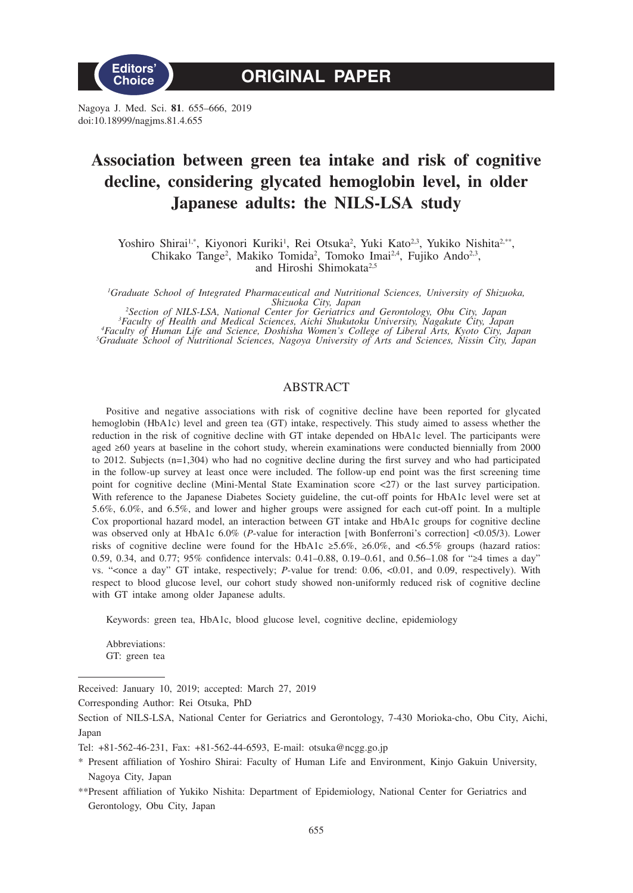

Nagoya J. Med. Sci. **81**. 655–666, 2019 doi:10.18999/nagjms.81.4.655

# **Association between green tea intake and risk of cognitive decline, considering glycated hemoglobin level, in older Japanese adults: the NILS-LSA study**

Yoshiro Shirai<sup>1,\*</sup>, Kiyonori Kuriki<sup>1</sup>, Rei Otsuka<sup>2</sup>, Yuki Kato<sup>2,3</sup>, Yukiko Nishita<sup>2,\*\*</sup>, Chikako Tange<sup>2</sup>, Makiko Tomida<sup>2</sup>, Tomoko Imai<sup>2,4</sup>, Fujiko Ando<sup>2,3</sup>, and Hiroshi Shimokata<sup>2,5</sup>

*1 Graduate School of Integrated Pharmaceutical and Nutritional Sciences, University of Shizuoka, Shizuoka City, Japan <sup>2</sup>*

<sup>2</sup>Section of NILS-LSA, National Center for Geriatrics and Gerontology, Obu City, Japan<sup>2</sup><br><sup>3</sup>Faculty of Health and Medical Sciences, Aichi Shukutoku University, Nagakute City, Japan<sup>4</sup><br>4Faculty of Human Life and Science,

# ABSTRACT

Positive and negative associations with risk of cognitive decline have been reported for glycated hemoglobin (HbA1c) level and green tea (GT) intake, respectively. This study aimed to assess whether the reduction in the risk of cognitive decline with GT intake depended on HbA1c level. The participants were aged ≥60 years at baseline in the cohort study, wherein examinations were conducted biennially from 2000 to 2012. Subjects (n=1,304) who had no cognitive decline during the first survey and who had participated in the follow-up survey at least once were included. The follow-up end point was the first screening time point for cognitive decline (Mini-Mental State Examination score <27) or the last survey participation. With reference to the Japanese Diabetes Society guideline, the cut-off points for HbA1c level were set at 5.6%, 6.0%, and 6.5%, and lower and higher groups were assigned for each cut-off point. In a multiple Cox proportional hazard model, an interaction between GT intake and HbA1c groups for cognitive decline was observed only at HbA1c 6.0% (*P*-value for interaction [with Bonferroni's correction] <0.05/3). Lower risks of cognitive decline were found for the HbA1c ≥5.6%, ≥6.0%, and <6.5% groups (hazard ratios: 0.59, 0.34, and 0.77; 95% confidence intervals: 0.41–0.88, 0.19–0.61, and 0.56–1.08 for "≥4 times a day" vs. "<once a day" GT intake, respectively; *P*-value for trend: 0.06, <0.01, and 0.09, respectively). With respect to blood glucose level, our cohort study showed non-uniformly reduced risk of cognitive decline with GT intake among older Japanese adults.

Keywords: green tea, HbA1c, blood glucose level, cognitive decline, epidemiology

Abbreviations: GT: green tea

Received: January 10, 2019; accepted: March 27, 2019

Corresponding Author: Rei Otsuka, PhD

Section of NILS-LSA, National Center for Geriatrics and Gerontology, 7-430 Morioka-cho, Obu City, Aichi, Japan

Tel: +81-562-46-231, Fax: +81-562-44-6593, E-mail: otsuka@ncgg.go.jp

<sup>\*</sup> Present affiliation of Yoshiro Shirai: Faculty of Human Life and Environment, Kinjo Gakuin University, Nagoya City, Japan

<sup>\*\*</sup>Present affiliation of Yukiko Nishita: Department of Epidemiology, National Center for Geriatrics and Gerontology, Obu City, Japan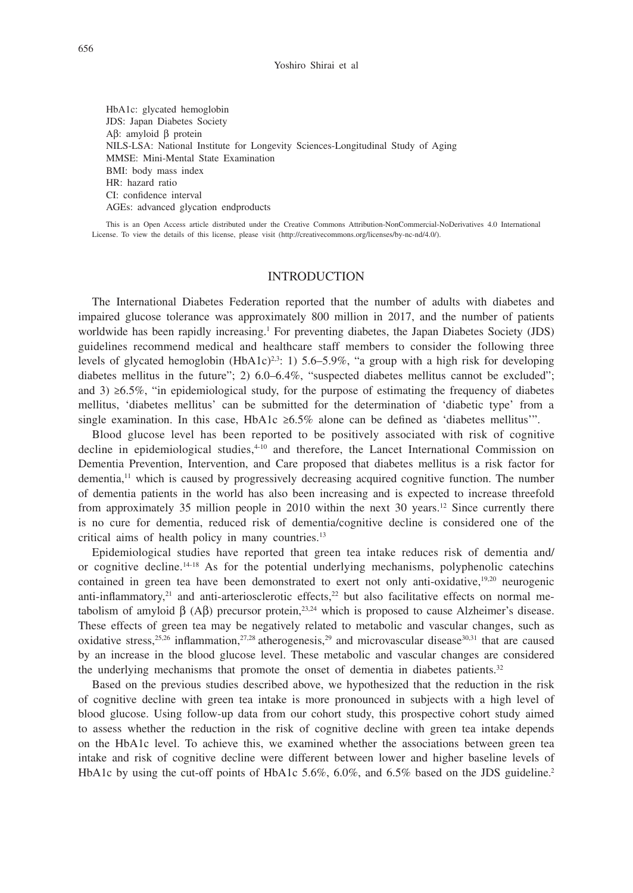HbA1c: glycated hemoglobin JDS: Japan Diabetes Society Aβ: amyloid β protein NILS-LSA: National Institute for Longevity Sciences-Longitudinal Study of Aging MMSE: Mini-Mental State Examination BMI: body mass index HR: hazard ratio CI: confidence interval AGEs: advanced glycation endproducts

This is an Open Access article distributed under the Creative Commons Attribution-NonCommercial-NoDerivatives 4.0 International License. To view the details of this license, please visit (http://creativecommons.org/licenses/by-nc-nd/4.0/).

# INTRODUCTION

The International Diabetes Federation reported that the number of adults with diabetes and impaired glucose tolerance was approximately 800 million in 2017, and the number of patients worldwide has been rapidly increasing.<sup>1</sup> For preventing diabetes, the Japan Diabetes Society (JDS) guidelines recommend medical and healthcare staff members to consider the following three levels of glycated hemoglobin (HbA1c)<sup>2,3</sup>: 1) 5.6–5.9%, "a group with a high risk for developing diabetes mellitus in the future"; 2) 6.0–6.4%, "suspected diabetes mellitus cannot be excluded"; and 3)  $\geq 6.5\%$ , "in epidemiological study, for the purpose of estimating the frequency of diabetes mellitus, 'diabetes mellitus' can be submitted for the determination of 'diabetic type' from a single examination. In this case, HbA1c  $\geq 6.5\%$  alone can be defined as 'diabetes mellitus'".

Blood glucose level has been reported to be positively associated with risk of cognitive decline in epidemiological studies, $4-10$  and therefore, the Lancet International Commission on Dementia Prevention, Intervention, and Care proposed that diabetes mellitus is a risk factor for dementia, $<sup>11</sup>$  which is caused by progressively decreasing acquired cognitive function. The number</sup> of dementia patients in the world has also been increasing and is expected to increase threefold from approximately 35 million people in 2010 within the next 30 years.<sup>12</sup> Since currently there is no cure for dementia, reduced risk of dementia/cognitive decline is considered one of the critical aims of health policy in many countries.<sup>13</sup>

Epidemiological studies have reported that green tea intake reduces risk of dementia and/ or cognitive decline.<sup>14-18</sup> As for the potential underlying mechanisms, polyphenolic catechins contained in green tea have been demonstrated to exert not only anti-oxidative, $19,20$  neurogenic anti-inflammatory, $21$  and anti-arteriosclerotic effects, $22$  but also facilitative effects on normal metabolism of amyloid β (Aβ) precursor protein,<sup>23,24</sup> which is proposed to cause Alzheimer's disease. These effects of green tea may be negatively related to metabolic and vascular changes, such as oxidative stress,<sup>25,26</sup> inflammation,<sup>27,28</sup> atherogenesis,<sup>29</sup> and microvascular disease<sup>30,31</sup> that are caused by an increase in the blood glucose level. These metabolic and vascular changes are considered the underlying mechanisms that promote the onset of dementia in diabetes patients. $32$ 

Based on the previous studies described above, we hypothesized that the reduction in the risk of cognitive decline with green tea intake is more pronounced in subjects with a high level of blood glucose. Using follow-up data from our cohort study, this prospective cohort study aimed to assess whether the reduction in the risk of cognitive decline with green tea intake depends on the HbA1c level. To achieve this, we examined whether the associations between green tea intake and risk of cognitive decline were different between lower and higher baseline levels of HbA1c by using the cut-off points of HbA1c 5.6%, 6.0%, and 6.5% based on the JDS guideline.<sup>2</sup>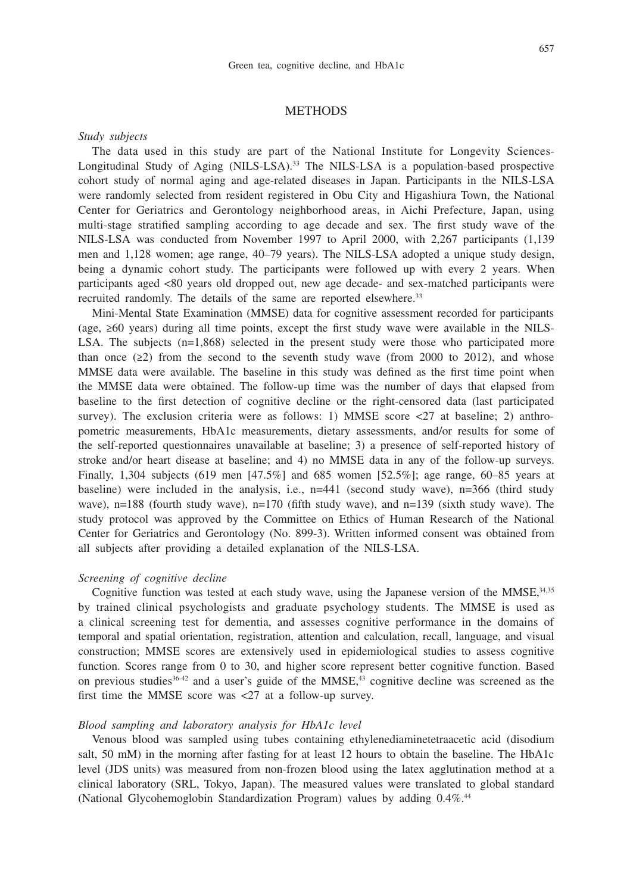## **METHODS**

## *Study subjects*

The data used in this study are part of the National Institute for Longevity Sciences-Longitudinal Study of Aging (NILS-LSA).<sup>33</sup> The NILS-LSA is a population-based prospective cohort study of normal aging and age-related diseases in Japan. Participants in the NILS-LSA were randomly selected from resident registered in Obu City and Higashiura Town, the National Center for Geriatrics and Gerontology neighborhood areas, in Aichi Prefecture, Japan, using multi-stage stratified sampling according to age decade and sex. The first study wave of the NILS-LSA was conducted from November 1997 to April 2000, with 2,267 participants (1,139 men and 1,128 women; age range, 40–79 years). The NILS-LSA adopted a unique study design, being a dynamic cohort study. The participants were followed up with every 2 years. When participants aged <80 years old dropped out, new age decade- and sex-matched participants were recruited randomly. The details of the same are reported elsewhere.<sup>33</sup>

Mini-Mental State Examination (MMSE) data for cognitive assessment recorded for participants (age, ≥60 years) during all time points, except the first study wave were available in the NILS-LSA. The subjects  $(n=1,868)$  selected in the present study were those who participated more than once  $(\geq 2)$  from the second to the seventh study wave (from 2000 to 2012), and whose MMSE data were available. The baseline in this study was defined as the first time point when the MMSE data were obtained. The follow-up time was the number of days that elapsed from baseline to the first detection of cognitive decline or the right-censored data (last participated survey). The exclusion criteria were as follows: 1) MMSE score  $\langle 27 \rangle$  at baseline; 2) anthropometric measurements, HbA1c measurements, dietary assessments, and/or results for some of the self-reported questionnaires unavailable at baseline; 3) a presence of self-reported history of stroke and/or heart disease at baseline; and 4) no MMSE data in any of the follow-up surveys. Finally, 1,304 subjects (619 men [47.5%] and 685 women [52.5%]; age range, 60–85 years at baseline) were included in the analysis, i.e., n=441 (second study wave), n=366 (third study wave), n=188 (fourth study wave), n=170 (fifth study wave), and n=139 (sixth study wave). The study protocol was approved by the Committee on Ethics of Human Research of the National Center for Geriatrics and Gerontology (No. 899-3). Written informed consent was obtained from all subjects after providing a detailed explanation of the NILS-LSA.

# *Screening of cognitive decline*

Cognitive function was tested at each study wave, using the Japanese version of the MMSE, 34,35 by trained clinical psychologists and graduate psychology students. The MMSE is used as a clinical screening test for dementia, and assesses cognitive performance in the domains of temporal and spatial orientation, registration, attention and calculation, recall, language, and visual construction; MMSE scores are extensively used in epidemiological studies to assess cognitive function. Scores range from 0 to 30, and higher score represent better cognitive function. Based on previous studies  $36-42$  and a user's guide of the MMSE,  $43$  cognitive decline was screened as the first time the MMSE score was <27 at a follow-up survey.

### *Blood sampling and laboratory analysis for HbA1c level*

Venous blood was sampled using tubes containing ethylenediaminetetraacetic acid (disodium salt, 50 mM) in the morning after fasting for at least 12 hours to obtain the baseline. The HbA1c level (JDS units) was measured from non-frozen blood using the latex agglutination method at a clinical laboratory (SRL, Tokyo, Japan). The measured values were translated to global standard (National Glycohemoglobin Standardization Program) values by adding 0.4%.<sup>44</sup>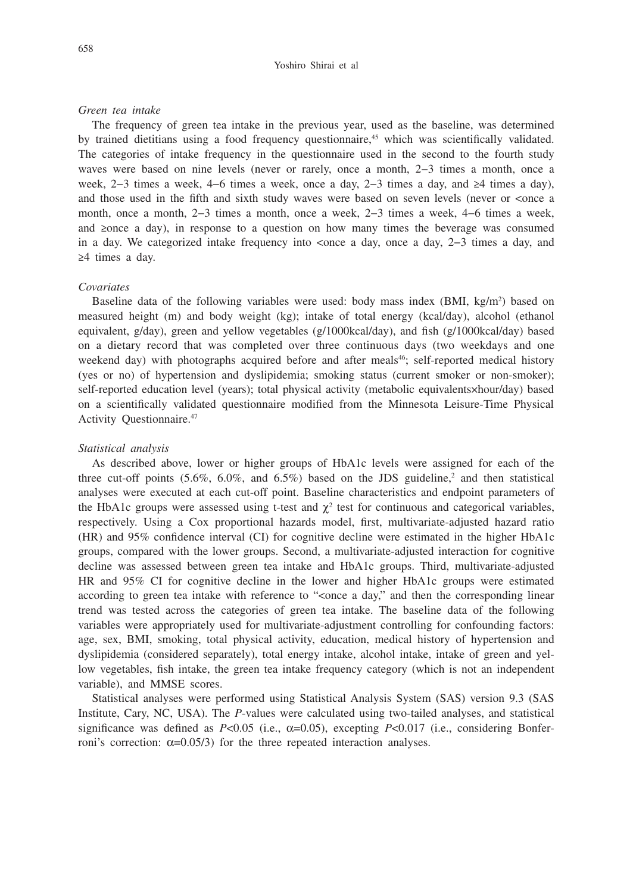#### Yoshiro Shirai et al

### *Green tea intake*

The frequency of green tea intake in the previous year, used as the baseline, was determined by trained dietitians using a food frequency questionnaire, $45$  which was scientifically validated. The categories of intake frequency in the questionnaire used in the second to the fourth study waves were based on nine levels (never or rarely, once a month, 2−3 times a month, once a week, 2−3 times a week, 4−6 times a week, once a day, 2−3 times a day, and ≥4 times a day), and those used in the fifth and sixth study waves were based on seven levels (never or <once a month, once a month, 2−3 times a month, once a week, 2−3 times a week, 4−6 times a week, and ≥once a day), in response to a question on how many times the beverage was consumed in a day. We categorized intake frequency into <once a day, once a day, 2–3 times a day, and ≥4 times a day.

## *Covariates*

Baseline data of the following variables were used: body mass index  $(BMI, kg/m<sup>2</sup>)$  based on measured height (m) and body weight (kg); intake of total energy (kcal/day), alcohol (ethanol equivalent, g/day), green and yellow vegetables (g/1000kcal/day), and fish (g/1000kcal/day) based on a dietary record that was completed over three continuous days (two weekdays and one weekend day) with photographs acquired before and after meals<sup>46</sup>; self-reported medical history (yes or no) of hypertension and dyslipidemia; smoking status (current smoker or non-smoker); self-reported education level (years); total physical activity (metabolic equivalents×hour/day) based on a scientifically validated questionnaire modified from the Minnesota Leisure-Time Physical Activity Questionnaire.47

#### *Statistical analysis*

As described above, lower or higher groups of HbA1c levels were assigned for each of the three cut-off points  $(5.6\%, 6.0\%, \text{ and } 6.5\%)$  based on the JDS guideline,<sup>2</sup> and then statistical analyses were executed at each cut-off point. Baseline characteristics and endpoint parameters of the HbA1c groups were assessed using t-test and  $\chi^2$  test for continuous and categorical variables, respectively. Using a Cox proportional hazards model, first, multivariate-adjusted hazard ratio (HR) and 95% confidence interval (CI) for cognitive decline were estimated in the higher HbA1c groups, compared with the lower groups. Second, a multivariate-adjusted interaction for cognitive decline was assessed between green tea intake and HbA1c groups. Third, multivariate-adjusted HR and 95% CI for cognitive decline in the lower and higher HbA1c groups were estimated according to green tea intake with reference to "<once a day," and then the corresponding linear trend was tested across the categories of green tea intake. The baseline data of the following variables were appropriately used for multivariate-adjustment controlling for confounding factors: age, sex, BMI, smoking, total physical activity, education, medical history of hypertension and dyslipidemia (considered separately), total energy intake, alcohol intake, intake of green and yellow vegetables, fish intake, the green tea intake frequency category (which is not an independent variable), and MMSE scores.

Statistical analyses were performed using Statistical Analysis System (SAS) version 9.3 (SAS Institute, Cary, NC, USA). The *P*-values were calculated using two-tailed analyses, and statistical significance was defined as  $P<0.05$  (i.e.,  $\alpha=0.05$ ), excepting  $P<0.017$  (i.e., considering Bonferroni's correction:  $α=0.05/3$ ) for the three repeated interaction analyses.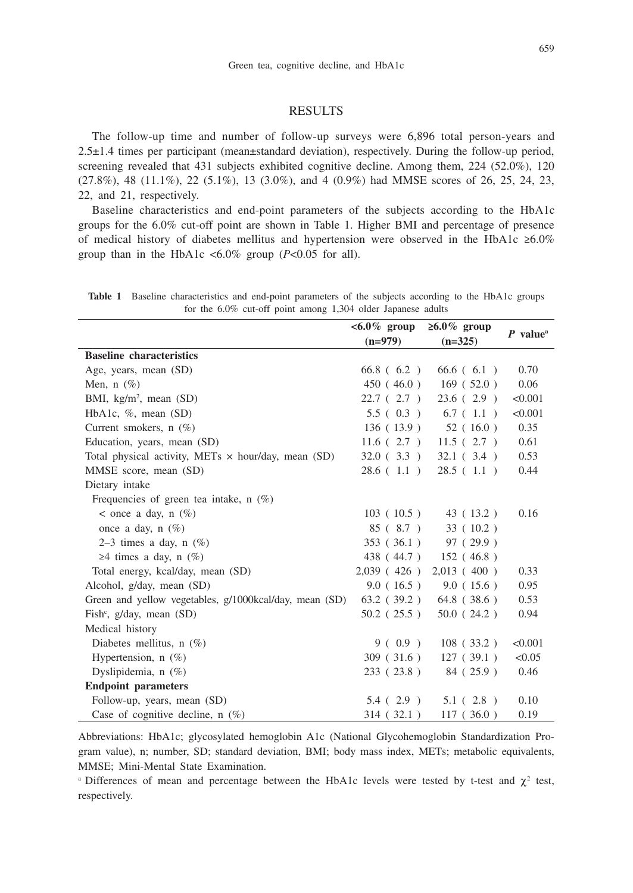## RESULTS

The follow-up time and number of follow-up surveys were 6,896 total person-years and 2.5±1.4 times per participant (mean±standard deviation), respectively. During the follow-up period, screening revealed that 431 subjects exhibited cognitive decline. Among them, 224 (52.0%), 120 (27.8%), 48 (11.1%), 22 (5.1%), 13 (3.0%), and 4 (0.9%) had MMSE scores of 26, 25, 24, 23, 22, and 21, respectively.

Baseline characteristics and end-point parameters of the subjects according to the HbA1c groups for the 6.0% cut-off point are shown in Table 1. Higher BMI and percentage of presence of medical history of diabetes mellitus and hypertension were observed in the HbA1c ≥6.0% group than in the HbA1c  $\langle 6.0\%$  group ( $P \langle 0.05$  for all).

**Table 1** Baseline characteristics and end-point parameters of the subjects according to the HbA1c groups for the 6.0% cut-off point among 1,304 older Japanese adults

|                                                            | $<6.0\%$ group | $\geq 6.0\%$ group | $P$ value <sup>a</sup> |  |
|------------------------------------------------------------|----------------|--------------------|------------------------|--|
|                                                            | $(n=979)$      | $(n=325)$          |                        |  |
| <b>Baseline characteristics</b>                            |                |                    |                        |  |
| Age, years, mean (SD)                                      | $66.8$ (6.2)   | $66.6$ (6.1)       | 0.70                   |  |
| Men, $n$ (%)                                               | 450(46.0)      | 169(52.0)          | 0.06                   |  |
| BMI, kg/m <sup>2</sup> , mean (SD)                         | 22.7(2.7)      | 23.6(2.9)          | < 0.001                |  |
| HbA1c, $\%$ , mean (SD)                                    | 5.5(0.3)       | 6.7(1.1)           | < 0.001                |  |
| Current smokers, $n(\%)$                                   | 136(13.9)      | 52(16.0)           | 0.35                   |  |
| Education, years, mean (SD)                                | 11.6(2.7)      | 11.5(2.7)          | 0.61                   |  |
| Total physical activity, METs $\times$ hour/day, mean (SD) | 32.0(3.3)      | 32.1(3.4)          | 0.53                   |  |
| MMSE score, mean (SD)                                      | 28.6(1.1)      | 28.5(1.1)          | 0.44                   |  |
| Dietary intake                                             |                |                    |                        |  |
| Frequencies of green tea intake, $n$ (%)                   |                |                    |                        |  |
| $\le$ once a day, n $(\%)$                                 | 103(10.5)      | 43 (13.2)          | 0.16                   |  |
| once a day, $n(\%)$                                        | 85(8.7)        | 33(10.2)           |                        |  |
| 2–3 times a day, $n$ (%)                                   | 353(36.1)      | 97(29.9)           |                        |  |
| $\geq$ 4 times a day, n (%)                                | 438 (44.7)     | 152(46.8)          |                        |  |
| Total energy, kcal/day, mean (SD)                          | $2,039$ (426)  | 2,013 (400)        | 0.33                   |  |
| Alcohol, g/day, mean (SD)                                  | 9.0(16.5)      | 9.0(15.6)          | 0.95                   |  |
| Green and yellow vegetables, g/1000kcal/day, mean (SD)     | $63.2$ (39.2)  | $64.8$ (38.6)      | 0.53                   |  |
| Fish <sup>c</sup> , $g/day$ , mean (SD)                    | $50.2$ (25.5)  | 50.0(24.2)         | 0.94                   |  |
| Medical history                                            |                |                    |                        |  |
| Diabetes mellitus, $n(\%)$                                 | 9(0.9)         | $108$ (33.2)       | < 0.001                |  |
| Hypertension, $n$ (%)                                      | 309(31.6)      | 127(39.1)          | < 0.05                 |  |
| Dyslipidemia, $n$ (%)                                      | 233(23.8)      | 84 (25.9)          | 0.46                   |  |
| <b>Endpoint parameters</b>                                 |                |                    |                        |  |
| Follow-up, years, mean (SD)                                | 5.4(2.9)       | 5.1(2.8)           | 0.10                   |  |
| Case of cognitive decline, $n(\%)$                         | 314(32.1)      | 117(36.0)          | 0.19                   |  |

Abbreviations: HbA1c; glycosylated hemoglobin A1c (National Glycohemoglobin Standardization Program value), n; number, SD; standard deviation, BMI; body mass index, METs; metabolic equivalents, MMSE; Mini-Mental State Examination.

<sup>a</sup> Differences of mean and percentage between the HbA1c levels were tested by t-test and  $\chi^2$  test, respectively.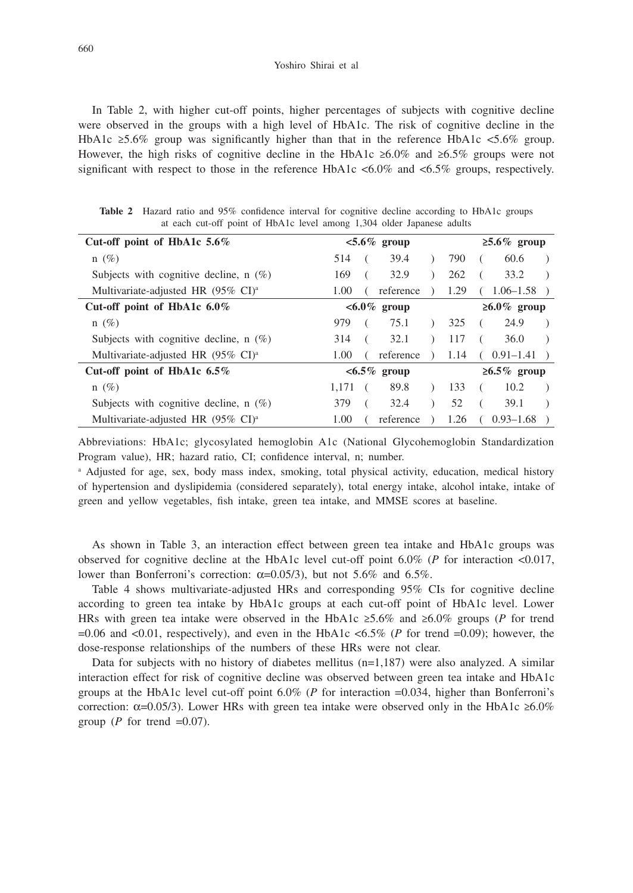In Table 2, with higher cut-off points, higher percentages of subjects with cognitive decline were observed in the groups with a high level of HbA1c. The risk of cognitive decline in the HbA1c  $\geq 5.6\%$  group was significantly higher than that in the reference HbA1c <5.6% group. However, the high risks of cognitive decline in the HbA1c ≥6.0% and ≥6.5% groups were not significant with respect to those in the reference HbA1c  $< 6.0\%$  and  $< 6.5\%$  groups, respectively.

| Cut-off point of HbA1c $5.6\%$                          | $< 5.6\%$ group                                |      | $\geq 5.6\%$ group                  |  |  |  |
|---------------------------------------------------------|------------------------------------------------|------|-------------------------------------|--|--|--|
| $n(\%)$                                                 | 39.4<br>514<br>$\rightarrow$                   | 790  | 60.6                                |  |  |  |
| Subjects with cognitive decline, $n(\%)$                | 169<br>32.9<br>$\lambda$                       | 262  | 33.2                                |  |  |  |
| Multivariate-adjusted HR $(95\% \text{ CI})^{\text{a}}$ | reference<br>1.00<br>$\rightarrow$<br>$\left($ | 1.29 | $1.06 - 1.58$ )                     |  |  |  |
| Cut-off point of HbA1c $6.0\%$                          | $<\!\!6.0\%$ group                             |      | $\geq 6.0\%$ group                  |  |  |  |
| $n(\%)$                                                 | 979<br>75.1<br>$\big)$                         | 325  | 24.9<br>$\sqrt{2}$                  |  |  |  |
| Subjects with cognitive decline, $n(\%)$                | 32.1<br>314<br>$\rightarrow$<br>$\sqrt{2}$     | 117  | 36.0<br>$\sqrt{2}$<br>$\rightarrow$ |  |  |  |
| Multivariate-adjusted HR (95% CI) <sup>a</sup>          | reference<br>1.00<br>$\sqrt{2}$                |      | $1.14 \quad (0.91-1.41)$            |  |  |  |
| Cut-off point of HbA1c $6.5\%$                          | $<6.5\%$ group                                 |      | $\geq 6.5\%$ group                  |  |  |  |
| $n(\%)$                                                 | 89.8<br>1,171<br>$\lambda$                     | 133  | 10.2                                |  |  |  |
| Subjects with cognitive decline, $n(\%)$                | 379<br>32.4<br>$\rightarrow$                   | 52   | 39.1<br>$\left($                    |  |  |  |
| Multivariate-adjusted HR (95% CI) <sup>a</sup>          | 1.00<br>reference<br>$\rightarrow$             | 1.26 | $(0.93-1.68)$                       |  |  |  |

**Table 2** Hazard ratio and 95% confidence interval for cognitive decline according to HbA1c groups at each cut-off point of HbA1c level among 1,304 older Japanese adults

Abbreviations: HbA1c; glycosylated hemoglobin A1c (National Glycohemoglobin Standardization Program value), HR; hazard ratio, CI; confidence interval, n; number.

<sup>a</sup> Adjusted for age, sex, body mass index, smoking, total physical activity, education, medical history of hypertension and dyslipidemia (considered separately), total energy intake, alcohol intake, intake of green and yellow vegetables, fish intake, green tea intake, and MMSE scores at baseline.

As shown in Table 3, an interaction effect between green tea intake and HbA1c groups was observed for cognitive decline at the HbA1c level cut-off point 6.0% (*P* for interaction <0.017, lower than Bonferroni's correction:  $α=0.05/3$ ), but not 5.6% and 6.5%.

Table 4 shows multivariate-adjusted HRs and corresponding 95% CIs for cognitive decline according to green tea intake by HbA1c groups at each cut-off point of HbA1c level. Lower HRs with green tea intake were observed in the HbA1c ≥5.6% and ≥6.0% groups (*P* for trend  $=0.06$  and  $<0.01$ , respectively), and even in the HbA1c  $< 6.5\%$  (*P* for trend  $= 0.09$ ); however, the dose-response relationships of the numbers of these HRs were not clear.

Data for subjects with no history of diabetes mellitus  $(n=1,187)$  were also analyzed. A similar interaction effect for risk of cognitive decline was observed between green tea intake and HbA1c groups at the HbA1c level cut-off point 6.0% (*P* for interaction =0.034, higher than Bonferroni's correction:  $\alpha$ =0.05/3). Lower HRs with green tea intake were observed only in the HbA1c ≥6.0% group ( $P$  for trend =0.07).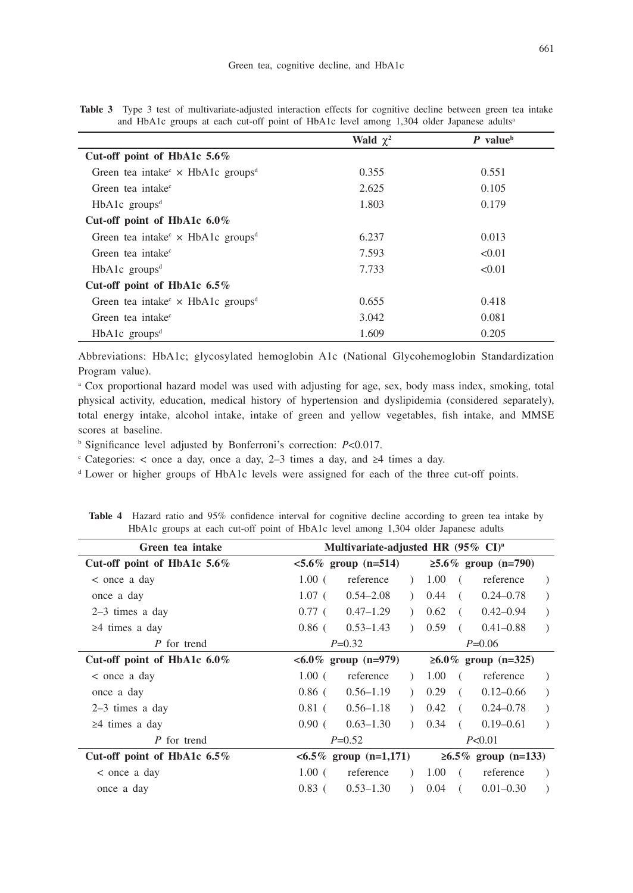| and HbA1c groups at each cut-off point of HbA1c level among 1,304 older Japanese adults <sup>a</sup> |                      |                        |  |  |  |
|------------------------------------------------------------------------------------------------------|----------------------|------------------------|--|--|--|
|                                                                                                      | <b>Wald</b> $\chi^2$ | $P$ value <sup>b</sup> |  |  |  |
| Cut-off point of HbA1c $5.6\%$                                                                       |                      |                        |  |  |  |
| Green tea intake $\times$ HbA1c groups <sup>d</sup>                                                  | 0.355                | 0.551                  |  |  |  |
| Green tea intake <sup>c</sup>                                                                        | 2.625                | 0.105                  |  |  |  |
| $HbA1c$ groups <sup>d</sup>                                                                          | 1.803                | 0.179                  |  |  |  |
| Cut-off point of HbA1c $6.0\%$                                                                       |                      |                        |  |  |  |
| Green tea intake $\times$ HbA1c groups <sup>d</sup>                                                  | 6.237                | 0.013                  |  |  |  |
| Green tea intake <sup>c</sup>                                                                        | 7.593                | < 0.01                 |  |  |  |
| $HbA1c$ groups <sup>d</sup>                                                                          | 7.733                | < 0.01                 |  |  |  |
| Cut-off point of HbA1c $6.5\%$                                                                       |                      |                        |  |  |  |
| Green tea intake $\times$ HbA1c groups <sup>d</sup>                                                  | 0.655                | 0.418                  |  |  |  |
| Green tea intake <sup>c</sup>                                                                        | 3.042                | 0.081                  |  |  |  |
| $HbA1c$ groups <sup>d</sup>                                                                          | 1.609                | 0.205                  |  |  |  |

**Table 3** Type 3 test of multivariate-adjusted interaction effects for cognitive decline between green tea intake and HbA1c groups at each cut-off point of HbA1c level among 1,304 older Japanese adults<sup>a</sup>

Abbreviations: HbA1c; glycosylated hemoglobin A1c (National Glycohemoglobin Standardization Program value).

<sup>a</sup> Cox proportional hazard model was used with adjusting for age, sex, body mass index, smoking, total physical activity, education, medical history of hypertension and dyslipidemia (considered separately), total energy intake, alcohol intake, intake of green and yellow vegetables, fish intake, and MMSE scores at baseline.

<sup>b</sup> Significance level adjusted by Bonferroni's correction: *P*<0.017.

 $\epsilon$  Categories: < once a day, once a day, 2–3 times a day, and ≥4 times a day.

<sup>d</sup> Lower or higher groups of HbA1c levels were assigned for each of the three cut-off points.

| Green tea intake               | Multivariate-adjusted HR (95% CI) <sup>a</sup> |                           |                        |                        |     |                        |               |
|--------------------------------|------------------------------------------------|---------------------------|------------------------|------------------------|-----|------------------------|---------------|
| Cut-off point of HbA1c 5.6%    | $< 5.6\%$ group (n=514)                        |                           |                        | $≥5.6\%$ group (n=790) |     |                        |               |
| $<$ once a day                 | $1.00$ (                                       | reference                 | $\lambda$              | 1.00                   | - ( | reference              | $\rightarrow$ |
| once a day                     | $1.07$ (                                       | $0.54 - 2.08$             | $\mathcal{L}$          | 0.44                   | - 6 | $0.24 - 0.78$          | $\lambda$     |
| $2-3$ times a day              | $0.77$ (                                       | $0.47 - 1.29$             | $\mathcal{L}$          | 0.62                   | €.  | $0.42 - 0.94$          | $\lambda$     |
| $\geq$ 4 times a day           | $0.86$ (                                       | $0.53 - 1.43$             |                        | 0.59                   | €.  | $0.41 - 0.88$          | $\lambda$     |
| P for trend                    |                                                | $P=0.32$                  |                        |                        |     | $P=0.06$               |               |
| Cut-off point of HbA1c $6.0\%$ | $< 6.0\%$ group (n=979)                        |                           | $≥6.0\%$ group (n=325) |                        |     |                        |               |
| $<$ once a day                 | $1.00$ (                                       | reference                 | $\lambda$              | 1.00                   |     | reference              | $\rightarrow$ |
| once a day                     | $0.86$ (                                       | $0.56 - 1.19$             | $\mathcal{L}$          | 0.29                   |     | $0.12 - 0.66$          | $\lambda$     |
| $2-3$ times a day              | $0.81$ (                                       | $0.56 - 1.18$             | $\mathcal{L}$          | 0.42                   | €.  | $0.24 - 0.78$          | $\rightarrow$ |
| $\geq$ 4 times a day           | $0.90$ (                                       | $0.63 - 1.30$             |                        | 0.34                   |     | $0.19 - 0.61$          | $\lambda$     |
| P for trend                    |                                                | $P=0.52$                  |                        |                        |     | P<0.01                 |               |
| Cut-off point of HbA1c $6.5\%$ |                                                | $< 6.5\%$ group (n=1,171) |                        |                        |     | $≥6.5\%$ group (n=133) |               |
| $<$ once a day                 | 1.00 <sub>0</sub>                              | reference                 | $\lambda$              | 1.00                   | - ( | reference              |               |
| once a day                     | $0.83$ (                                       | $0.53 - 1.30$             |                        | 0.04                   |     | $0.01 - 0.30$          |               |

**Table 4** Hazard ratio and 95% confidence interval for cognitive decline according to green tea intake by HbA1c groups at each cut-off point of HbA1c level among 1,304 older Japanese adults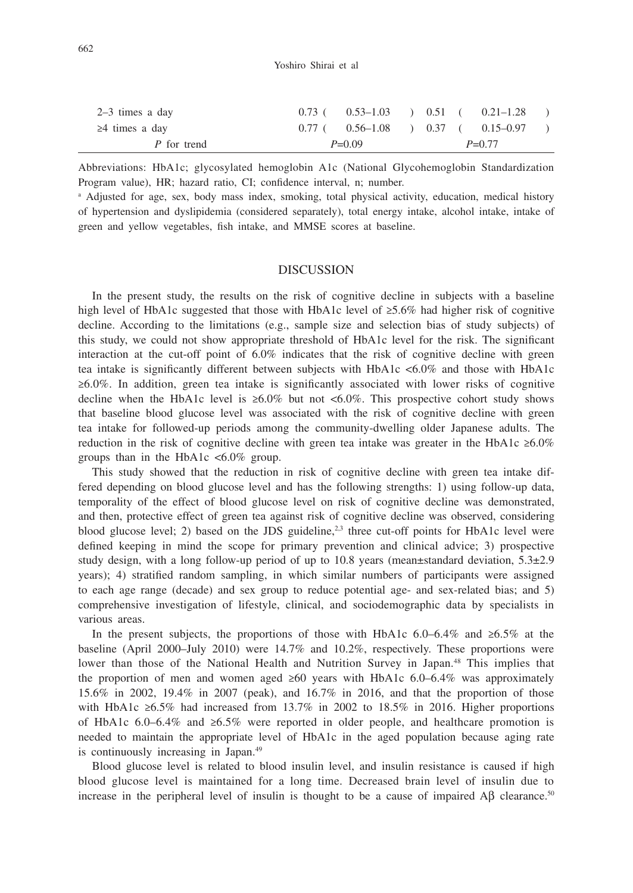| P for trend          | $P=0.09$                                      |  | $P=0.77$ |  |
|----------------------|-----------------------------------------------|--|----------|--|
| $\geq$ 4 times a day | $0.77$ ( $0.56-1.08$ ) $0.37$ ( $0.15-0.97$ ) |  |          |  |
| 2–3 times a day      | $0.73$ ( $0.53-1.03$ ) $0.51$ ( $0.21-1.28$ ) |  |          |  |

Abbreviations: HbA1c; glycosylated hemoglobin A1c (National Glycohemoglobin Standardization Program value), HR; hazard ratio, CI; confidence interval, n; number.

<sup>a</sup> Adjusted for age, sex, body mass index, smoking, total physical activity, education, medical history of hypertension and dyslipidemia (considered separately), total energy intake, alcohol intake, intake of green and yellow vegetables, fish intake, and MMSE scores at baseline.

## DISCUSSION

In the present study, the results on the risk of cognitive decline in subjects with a baseline high level of HbA1c suggested that those with HbA1c level of ≥5.6% had higher risk of cognitive decline. According to the limitations (e.g., sample size and selection bias of study subjects) of this study, we could not show appropriate threshold of HbA1c level for the risk. The significant interaction at the cut-off point of 6.0% indicates that the risk of cognitive decline with green tea intake is significantly different between subjects with HbA1c <6.0% and those with HbA1c ≥6.0%. In addition, green tea intake is significantly associated with lower risks of cognitive decline when the HbA1c level is  $\geq 6.0\%$  but not  $\lt 6.0\%$ . This prospective cohort study shows that baseline blood glucose level was associated with the risk of cognitive decline with green tea intake for followed-up periods among the community-dwelling older Japanese adults. The reduction in the risk of cognitive decline with green tea intake was greater in the HbA1c  $\geq 6.0\%$ groups than in the HbA1c  $\langle 6.0\%$  group.

This study showed that the reduction in risk of cognitive decline with green tea intake differed depending on blood glucose level and has the following strengths: 1) using follow-up data, temporality of the effect of blood glucose level on risk of cognitive decline was demonstrated, and then, protective effect of green tea against risk of cognitive decline was observed, considering blood glucose level; 2) based on the JDS guideline,<sup>2,3</sup> three cut-off points for HbA1c level were defined keeping in mind the scope for primary prevention and clinical advice; 3) prospective study design, with a long follow-up period of up to 10.8 years (mean $\pm$ standard deviation, 5.3 $\pm$ 2.9 years); 4) stratified random sampling, in which similar numbers of participants were assigned to each age range (decade) and sex group to reduce potential age- and sex-related bias; and 5) comprehensive investigation of lifestyle, clinical, and sociodemographic data by specialists in various areas.

In the present subjects, the proportions of those with HbA1c 6.0–6.4% and ≥6.5% at the baseline (April 2000–July 2010) were 14.7% and 10.2%, respectively. These proportions were lower than those of the National Health and Nutrition Survey in Japan.<sup>48</sup> This implies that the proportion of men and women aged  $\geq 60$  years with HbA1c 6.0–6.4% was approximately 15.6% in 2002, 19.4% in 2007 (peak), and 16.7% in 2016, and that the proportion of those with HbA1c ≥6.5% had increased from 13.7% in 2002 to 18.5% in 2016. Higher proportions of HbA1c 6.0–6.4% and ≥6.5% were reported in older people, and healthcare promotion is needed to maintain the appropriate level of HbA1c in the aged population because aging rate is continuously increasing in Japan.<sup>49</sup>

Blood glucose level is related to blood insulin level, and insulin resistance is caused if high blood glucose level is maintained for a long time. Decreased brain level of insulin due to increase in the peripheral level of insulin is thought to be a cause of impaired A $\beta$  clearance.<sup>50</sup>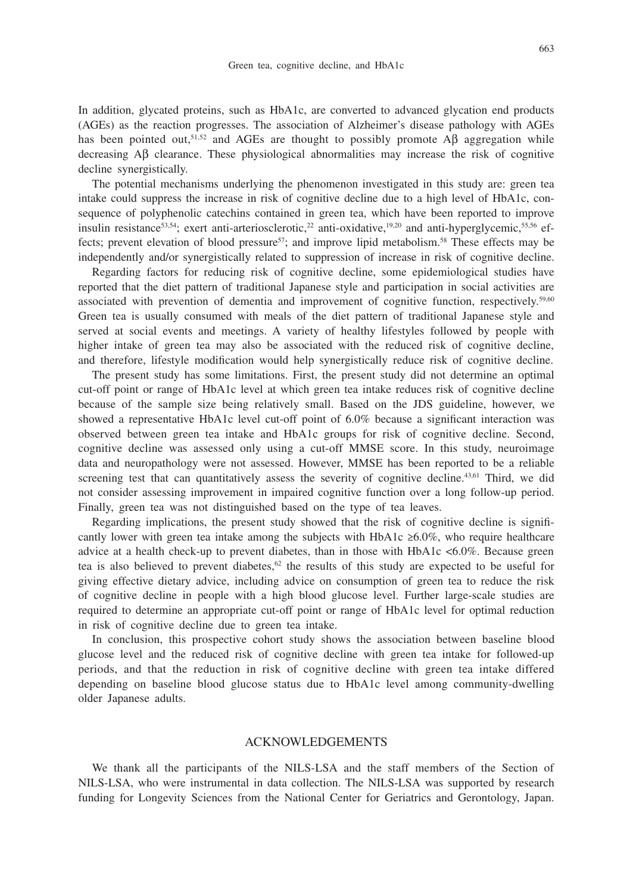In addition, glycated proteins, such as HbA1c, are converted to advanced glycation end products (AGEs) as the reaction progresses. The association of Alzheimer's disease pathology with AGEs has been pointed out,<sup>51,52</sup> and AGEs are thought to possibly promote Aβ aggregation while decreasing Aβ clearance. These physiological abnormalities may increase the risk of cognitive decline synergistically.

The potential mechanisms underlying the phenomenon investigated in this study are: green tea intake could suppress the increase in risk of cognitive decline due to a high level of HbA1c, consequence of polyphenolic catechins contained in green tea, which have been reported to improve insulin resistance<sup>53,54</sup>; exert anti-arteriosclerotic,<sup>22</sup> anti-oxidative,<sup>19,20</sup> and anti-hyperglycemic,<sup>55,56</sup> effects; prevent elevation of blood pressure<sup>57</sup>; and improve lipid metabolism.<sup>58</sup> These effects may be independently and/or synergistically related to suppression of increase in risk of cognitive decline.

Regarding factors for reducing risk of cognitive decline, some epidemiological studies have reported that the diet pattern of traditional Japanese style and participation in social activities are associated with prevention of dementia and improvement of cognitive function, respectively.<sup>59,60</sup> Green tea is usually consumed with meals of the diet pattern of traditional Japanese style and served at social events and meetings. A variety of healthy lifestyles followed by people with higher intake of green tea may also be associated with the reduced risk of cognitive decline, and therefore, lifestyle modification would help synergistically reduce risk of cognitive decline.

The present study has some limitations. First, the present study did not determine an optimal cut-off point or range of HbA1c level at which green tea intake reduces risk of cognitive decline because of the sample size being relatively small. Based on the JDS guideline, however, we showed a representative HbA1c level cut-off point of 6.0% because a significant interaction was observed between green tea intake and HbA1c groups for risk of cognitive decline. Second, cognitive decline was assessed only using a cut-off MMSE score. In this study, neuroimage data and neuropathology were not assessed. However, MMSE has been reported to be a reliable screening test that can quantitatively assess the severity of cognitive decline.<sup>43,61</sup> Third, we did not consider assessing improvement in impaired cognitive function over a long follow-up period. Finally, green tea was not distinguished based on the type of tea leaves.

Regarding implications, the present study showed that the risk of cognitive decline is significantly lower with green tea intake among the subjects with HbA1c  $\geq 6.0\%$ , who require healthcare advice at a health check-up to prevent diabetes, than in those with HbA1c <6.0%. Because green tea is also believed to prevent diabetes, $62$  the results of this study are expected to be useful for giving effective dietary advice, including advice on consumption of green tea to reduce the risk of cognitive decline in people with a high blood glucose level. Further large-scale studies are required to determine an appropriate cut-off point or range of HbA1c level for optimal reduction in risk of cognitive decline due to green tea intake.

In conclusion, this prospective cohort study shows the association between baseline blood glucose level and the reduced risk of cognitive decline with green tea intake for followed-up periods, and that the reduction in risk of cognitive decline with green tea intake differed depending on baseline blood glucose status due to HbA1c level among community-dwelling older Japanese adults.

# ACKNOWLEDGEMENTS

We thank all the participants of the NILS-LSA and the staff members of the Section of NILS-LSA, who were instrumental in data collection. The NILS-LSA was supported by research funding for Longevity Sciences from the National Center for Geriatrics and Gerontology, Japan.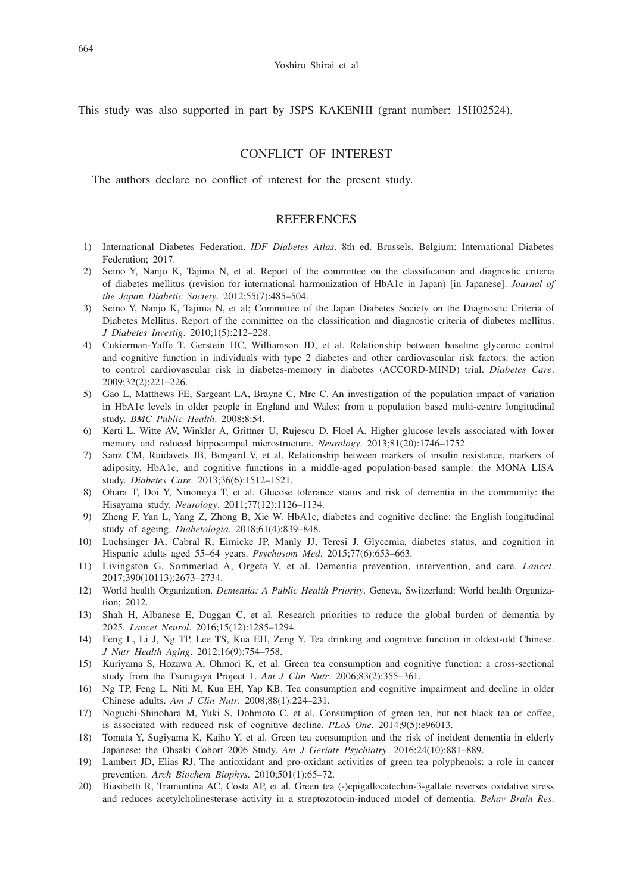This study was also supported in part by JSPS KAKENHI (grant number: 15H02524).

# CONFLICT OF INTEREST

The authors declare no conflict of interest for the present study.

### **REFERENCES**

- 1) International Diabetes Federation. *IDF Diabetes Atlas*. 8th ed. Brussels, Belgium: International Diabetes Federation; 2017.
- 2) Seino Y, Nanjo K, Tajima N, et al. Report of the committee on the classification and diagnostic criteria of diabetes mellitus (revision for international harmonization of HbA1c in Japan) [in Japanese]. *Journal of the Japan Diabetic Society*. 2012;55(7):485–504.
- 3) Seino Y, Nanjo K, Tajima N, et al; Committee of the Japan Diabetes Society on the Diagnostic Criteria of Diabetes Mellitus. Report of the committee on the classification and diagnostic criteria of diabetes mellitus. *J Diabetes Investig*. 2010;1(5):212–228.
- 4) Cukierman-Yaffe T, Gerstein HC, Williamson JD, et al. Relationship between baseline glycemic control and cognitive function in individuals with type 2 diabetes and other cardiovascular risk factors: the action to control cardiovascular risk in diabetes-memory in diabetes (ACCORD-MIND) trial. *Diabetes Care*. 2009;32(2):221–226.
- 5) Gao L, Matthews FE, Sargeant LA, Brayne C, Mrc C. An investigation of the population impact of variation in HbA1c levels in older people in England and Wales: from a population based multi-centre longitudinal study. *BMC Public Health*. 2008;8:54.
- 6) Kerti L, Witte AV, Winkler A, Grittner U, Rujescu D, Floel A. Higher glucose levels associated with lower memory and reduced hippocampal microstructure. *Neurology*. 2013;81(20):1746–1752.
- 7) Sanz CM, Ruidavets JB, Bongard V, et al. Relationship between markers of insulin resistance, markers of adiposity, HbA1c, and cognitive functions in a middle-aged population-based sample: the MONA LISA study. *Diabetes Care*. 2013;36(6):1512–1521.
- 8) Ohara T, Doi Y, Ninomiya T, et al. Glucose tolerance status and risk of dementia in the community: the Hisayama study. *Neurology*. 2011;77(12):1126–1134.
- 9) Zheng F, Yan L, Yang Z, Zhong B, Xie W. HbA1c, diabetes and cognitive decline: the English longitudinal study of ageing. *Diabetologia*. 2018;61(4):839–848.
- 10) Luchsinger JA, Cabral R, Eimicke JP, Manly JJ, Teresi J. Glycemia, diabetes status, and cognition in Hispanic adults aged 55–64 years. *Psychosom Med*. 2015;77(6):653–663.
- 11) Livingston G, Sommerlad A, Orgeta V, et al. Dementia prevention, intervention, and care. *Lancet*. 2017;390(10113):2673–2734.
- 12) World health Organization. *Dementia: A Public Health Priority*. Geneva, Switzerland: World health Organization; 2012.
- 13) Shah H, Albanese E, Duggan C, et al. Research priorities to reduce the global burden of dementia by 2025. *Lancet Neurol*. 2016;15(12):1285–1294.
- 14) Feng L, Li J, Ng TP, Lee TS, Kua EH, Zeng Y. Tea drinking and cognitive function in oldest-old Chinese. *J Nutr Health Aging*. 2012;16(9):754–758.
- 15) Kuriyama S, Hozawa A, Ohmori K, et al. Green tea consumption and cognitive function: a cross-sectional study from the Tsurugaya Project 1. *Am J Clin Nutr*. 2006;83(2):355–361.
- 16) Ng TP, Feng L, Niti M, Kua EH, Yap KB. Tea consumption and cognitive impairment and decline in older Chinese adults. *Am J Clin Nutr*. 2008;88(1):224–231.
- 17) Noguchi-Shinohara M, Yuki S, Dohmoto C, et al. Consumption of green tea, but not black tea or coffee, is associated with reduced risk of cognitive decline. *PLoS One*. 2014;9(5):e96013.
- 18) Tomata Y, Sugiyama K, Kaiho Y, et al. Green tea consumption and the risk of incident dementia in elderly Japanese: the Ohsaki Cohort 2006 Study. *Am J Geriatr Psychiatry*. 2016;24(10):881–889.
- 19) Lambert JD, Elias RJ. The antioxidant and pro-oxidant activities of green tea polyphenols: a role in cancer prevention. *Arch Biochem Biophys*. 2010;501(1):65–72.
- 20) Biasibetti R, Tramontina AC, Costa AP, et al. Green tea (-)epigallocatechin-3-gallate reverses oxidative stress and reduces acetylcholinesterase activity in a streptozotocin-induced model of dementia. *Behav Brain Res*.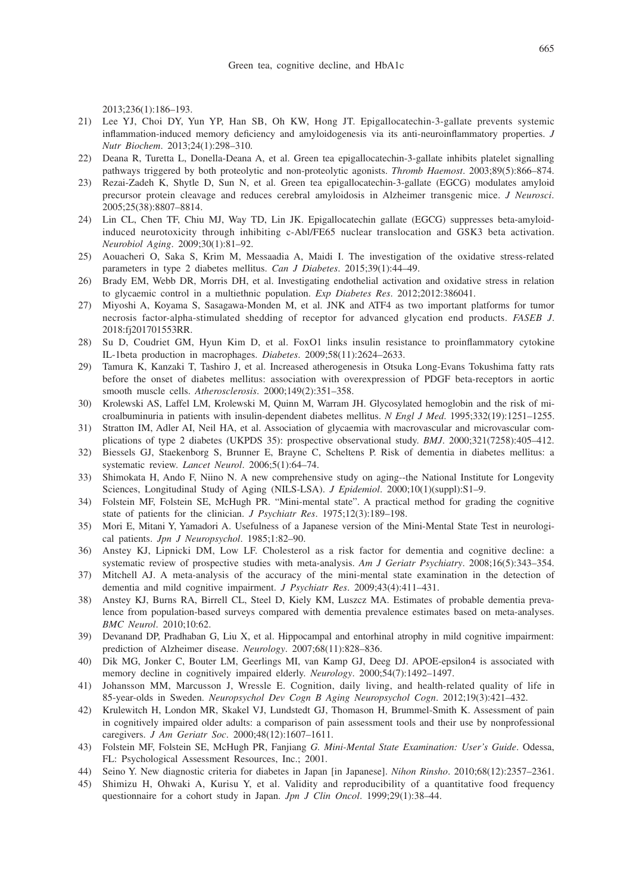2013;236(1):186–193.

- 21) Lee YJ, Choi DY, Yun YP, Han SB, Oh KW, Hong JT. Epigallocatechin-3-gallate prevents systemic inflammation-induced memory deficiency and amyloidogenesis via its anti-neuroinflammatory properties. *J Nutr Biochem*. 2013;24(1):298–310.
- 22) Deana R, Turetta L, Donella-Deana A, et al. Green tea epigallocatechin-3-gallate inhibits platelet signalling pathways triggered by both proteolytic and non-proteolytic agonists. *Thromb Haemost*. 2003;89(5):866–874.
- 23) Rezai-Zadeh K, Shytle D, Sun N, et al. Green tea epigallocatechin-3-gallate (EGCG) modulates amyloid precursor protein cleavage and reduces cerebral amyloidosis in Alzheimer transgenic mice. *J Neurosci*. 2005;25(38):8807–8814.
- 24) Lin CL, Chen TF, Chiu MJ, Way TD, Lin JK. Epigallocatechin gallate (EGCG) suppresses beta-amyloidinduced neurotoxicity through inhibiting c-Abl/FE65 nuclear translocation and GSK3 beta activation. *Neurobiol Aging*. 2009;30(1):81–92.
- 25) Aouacheri O, Saka S, Krim M, Messaadia A, Maidi I. The investigation of the oxidative stress-related parameters in type 2 diabetes mellitus. *Can J Diabetes*. 2015;39(1):44–49.
- 26) Brady EM, Webb DR, Morris DH, et al. Investigating endothelial activation and oxidative stress in relation to glycaemic control in a multiethnic population. *Exp Diabetes Res*. 2012;2012:386041.
- 27) Miyoshi A, Koyama S, Sasagawa-Monden M, et al. JNK and ATF4 as two important platforms for tumor necrosis factor-alpha-stimulated shedding of receptor for advanced glycation end products. *FASEB J*. 2018:fj201701553RR.
- 28) Su D, Coudriet GM, Hyun Kim D, et al. FoxO1 links insulin resistance to proinflammatory cytokine IL-1beta production in macrophages. *Diabetes*. 2009;58(11):2624–2633.
- 29) Tamura K, Kanzaki T, Tashiro J, et al. Increased atherogenesis in Otsuka Long-Evans Tokushima fatty rats before the onset of diabetes mellitus: association with overexpression of PDGF beta-receptors in aortic smooth muscle cells. *Atherosclerosis*. 2000;149(2):351–358.
- 30) Krolewski AS, Laffel LM, Krolewski M, Quinn M, Warram JH. Glycosylated hemoglobin and the risk of microalbuminuria in patients with insulin-dependent diabetes mellitus. *N Engl J Med*. 1995;332(19):1251–1255.
- 31) Stratton IM, Adler AI, Neil HA, et al. Association of glycaemia with macrovascular and microvascular complications of type 2 diabetes (UKPDS 35): prospective observational study. *BMJ*. 2000;321(7258):405–412.
- 32) Biessels GJ, Staekenborg S, Brunner E, Brayne C, Scheltens P. Risk of dementia in diabetes mellitus: a systematic review. *Lancet Neurol*. 2006;5(1):64–74.
- 33) Shimokata H, Ando F, Niino N. A new comprehensive study on aging--the National Institute for Longevity Sciences, Longitudinal Study of Aging (NILS-LSA). *J Epidemiol*. 2000;10(1)(suppl):S1–9.
- 34) Folstein MF, Folstein SE, McHugh PR. "Mini-mental state". A practical method for grading the cognitive state of patients for the clinician. *J Psychiatr Res*. 1975;12(3):189–198.
- 35) Mori E, Mitani Y, Yamadori A. Usefulness of a Japanese version of the Mini-Mental State Test in neurological patients. *Jpn J Neuropsychol*. 1985;1:82–90.
- 36) Anstey KJ, Lipnicki DM, Low LF. Cholesterol as a risk factor for dementia and cognitive decline: a systematic review of prospective studies with meta-analysis. *Am J Geriatr Psychiatry*. 2008;16(5):343–354.
- 37) Mitchell AJ. A meta-analysis of the accuracy of the mini-mental state examination in the detection of dementia and mild cognitive impairment. *J Psychiatr Res*. 2009;43(4):411–431.
- 38) Anstey KJ, Burns RA, Birrell CL, Steel D, Kiely KM, Luszcz MA. Estimates of probable dementia prevalence from population-based surveys compared with dementia prevalence estimates based on meta-analyses. *BMC Neurol*. 2010;10:62.
- 39) Devanand DP, Pradhaban G, Liu X, et al. Hippocampal and entorhinal atrophy in mild cognitive impairment: prediction of Alzheimer disease. *Neurology*. 2007;68(11):828–836.
- 40) Dik MG, Jonker C, Bouter LM, Geerlings MI, van Kamp GJ, Deeg DJ. APOE-epsilon4 is associated with memory decline in cognitively impaired elderly. *Neurology*. 2000;54(7):1492–1497.
- 41) Johansson MM, Marcusson J, Wressle E. Cognition, daily living, and health-related quality of life in 85-year-olds in Sweden. *Neuropsychol Dev Cogn B Aging Neuropsychol Cogn*. 2012;19(3):421–432.
- 42) Krulewitch H, London MR, Skakel VJ, Lundstedt GJ, Thomason H, Brummel-Smith K. Assessment of pain in cognitively impaired older adults: a comparison of pain assessment tools and their use by nonprofessional caregivers. *J Am Geriatr Soc*. 2000;48(12):1607–1611.
- 43) Folstein MF, Folstein SE, McHugh PR, Fanjiang *G. Mini-Mental State Examination: User's Guide*. Odessa, FL: Psychological Assessment Resources, Inc.; 2001.
- 44) Seino Y. New diagnostic criteria for diabetes in Japan [in Japanese]. *Nihon Rinsho*. 2010;68(12):2357–2361.
- 45) Shimizu H, Ohwaki A, Kurisu Y, et al. Validity and reproducibility of a quantitative food frequency questionnaire for a cohort study in Japan. *Jpn J Clin Oncol*. 1999;29(1):38–44.